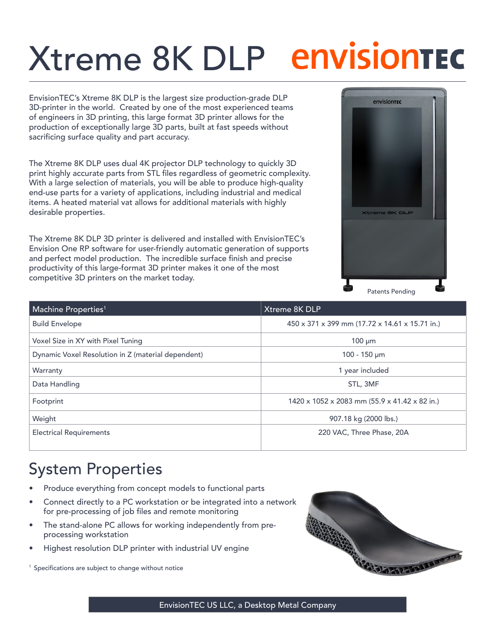## Xtreme 8K DLP

EnvisionTEC's Xtreme 8K DLP is the largest size production-grade DLP 3D-printer in the world. Created by one of the most experienced teams of engineers in 3D printing, this large format 3D printer allows for the production of exceptionally large 3D parts, built at fast speeds without sacrificing surface quality and part accuracy.

The Xtreme 8K DLP uses dual 4K projector DLP technology to quickly 3D print highly accurate parts from STL files regardless of geometric complexity. With a large selection of materials, you will be able to produce high-quality end-use parts for a variety of applications, including industrial and medical items. A heated material vat allows for additional materials with highly desirable properties.

The Xtreme 8K DLP 3D printer is delivered and installed with EnvisionTEC's Envision One RP software for user-friendly automatic generation of supports and perfect model production. The incredible surface finish and precise productivity of this large-format 3D printer makes it one of the most competitive 3D printers on the market today.



| Machine Properties <sup>1</sup>                    | Xtreme 8K DLP                                  |
|----------------------------------------------------|------------------------------------------------|
| <b>Build Envelope</b>                              | 450 x 371 x 399 mm (17.72 x 14.61 x 15.71 in.) |
| Voxel Size in XY with Pixel Tuning                 | $100 \mu m$                                    |
| Dynamic Voxel Resolution in Z (material dependent) | $100 - 150 \mu m$                              |
| Warranty                                           | 1 year included                                |
| Data Handling                                      | STL, 3MF                                       |
| Footprint                                          | 1420 x 1052 x 2083 mm (55.9 x 41.42 x 82 in.)  |
| Weight                                             | 907.18 kg (2000 lbs.)                          |
| <b>Electrical Requirements</b>                     | 220 VAC, Three Phase, 20A                      |

## System Properties

- Produce everything from concept models to functional parts
- Connect directly to a PC workstation or be integrated into a network for pre-processing of job files and remote monitoring
- The stand-alone PC allows for working independently from preprocessing workstation
- Highest resolution DLP printer with industrial UV engine

<sup>1</sup> Specifications are subject to change without notice



EnvisionTEC US LLC, a Desktop Metal Company